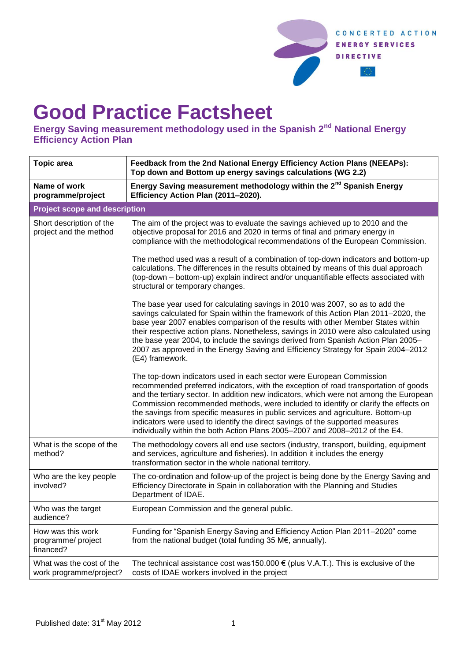

## **Good Practice Factsheet**

**Energy Saving measurement methodology used in the Spanish 2nd National Energy Efficiency Action Plan**

| <b>Topic area</b>                                    | Feedback from the 2nd National Energy Efficiency Action Plans (NEEAPs):<br>Top down and Bottom up energy savings calculations (WG 2.2)                                                                                                                                                                                                                                                                                                                                                                                                                                                             |  |
|------------------------------------------------------|----------------------------------------------------------------------------------------------------------------------------------------------------------------------------------------------------------------------------------------------------------------------------------------------------------------------------------------------------------------------------------------------------------------------------------------------------------------------------------------------------------------------------------------------------------------------------------------------------|--|
| Name of work<br>programme/project                    | Energy Saving measurement methodology within the 2 <sup>nd</sup> Spanish Energy<br>Efficiency Action Plan (2011-2020).                                                                                                                                                                                                                                                                                                                                                                                                                                                                             |  |
| <b>Project scope and description</b>                 |                                                                                                                                                                                                                                                                                                                                                                                                                                                                                                                                                                                                    |  |
| Short description of the<br>project and the method   | The aim of the project was to evaluate the savings achieved up to 2010 and the<br>objective proposal for 2016 and 2020 in terms of final and primary energy in<br>compliance with the methodological recommendations of the European Commission.                                                                                                                                                                                                                                                                                                                                                   |  |
|                                                      | The method used was a result of a combination of top-down indicators and bottom-up<br>calculations. The differences in the results obtained by means of this dual approach<br>(top-down - bottom-up) explain indirect and/or unquantifiable effects associated with<br>structural or temporary changes.                                                                                                                                                                                                                                                                                            |  |
|                                                      | The base year used for calculating savings in 2010 was 2007, so as to add the<br>savings calculated for Spain within the framework of this Action Plan 2011–2020, the<br>base year 2007 enables comparison of the results with other Member States within<br>their respective action plans. Nonetheless, savings in 2010 were also calculated using<br>the base year 2004, to include the savings derived from Spanish Action Plan 2005-<br>2007 as approved in the Energy Saving and Efficiency Strategy for Spain 2004-2012<br>(E4) framework.                                                   |  |
|                                                      | The top-down indicators used in each sector were European Commission<br>recommended preferred indicators, with the exception of road transportation of goods<br>and the tertiary sector. In addition new indicators, which were not among the European<br>Commission recommended methods, were included to identify or clarify the effects on<br>the savings from specific measures in public services and agriculture. Bottom-up<br>indicators were used to identify the direct savings of the supported measures<br>individually within the both Action Plans 2005-2007 and 2008-2012 of the E4. |  |
| What is the scope of the<br>method?                  | The methodology covers all end use sectors (industry, transport, building, equipment<br>and services, agriculture and fisheries). In addition it includes the energy<br>transformation sector in the whole national territory.                                                                                                                                                                                                                                                                                                                                                                     |  |
| Who are the key people<br>involved?                  | The co-ordination and follow-up of the project is being done by the Energy Saving and<br>Efficiency Directorate in Spain in collaboration with the Planning and Studies<br>Department of IDAE.                                                                                                                                                                                                                                                                                                                                                                                                     |  |
| Who was the target<br>audience?                      | European Commission and the general public.                                                                                                                                                                                                                                                                                                                                                                                                                                                                                                                                                        |  |
| How was this work<br>programme/ project<br>financed? | Funding for "Spanish Energy Saving and Efficiency Action Plan 2011–2020" come<br>from the national budget (total funding 35 M€, annually).                                                                                                                                                                                                                                                                                                                                                                                                                                                         |  |
| What was the cost of the<br>work programme/project?  | The technical assistance cost was 150.000 $\epsilon$ (plus V.A.T.). This is exclusive of the<br>costs of IDAE workers involved in the project                                                                                                                                                                                                                                                                                                                                                                                                                                                      |  |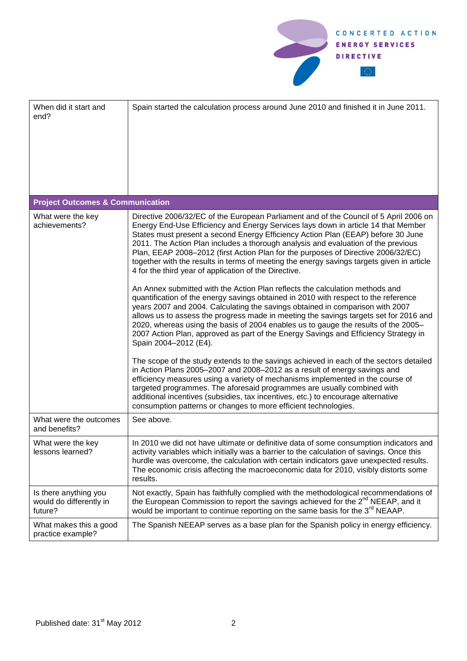

| When did it start and<br>end?                               | Spain started the calculation process around June 2010 and finished it in June 2011.                                                                                                                                                                                                                                                                                                                                                                                                                                                                                                                                                                                                                                                                                                                                                                                                                                                                                                                                                                                                                                                                                                                                                                                                                                                                                                                                                                                                                                                                                                                                                             |  |
|-------------------------------------------------------------|--------------------------------------------------------------------------------------------------------------------------------------------------------------------------------------------------------------------------------------------------------------------------------------------------------------------------------------------------------------------------------------------------------------------------------------------------------------------------------------------------------------------------------------------------------------------------------------------------------------------------------------------------------------------------------------------------------------------------------------------------------------------------------------------------------------------------------------------------------------------------------------------------------------------------------------------------------------------------------------------------------------------------------------------------------------------------------------------------------------------------------------------------------------------------------------------------------------------------------------------------------------------------------------------------------------------------------------------------------------------------------------------------------------------------------------------------------------------------------------------------------------------------------------------------------------------------------------------------------------------------------------------------|--|
| <b>Project Outcomes &amp; Communication</b>                 |                                                                                                                                                                                                                                                                                                                                                                                                                                                                                                                                                                                                                                                                                                                                                                                                                                                                                                                                                                                                                                                                                                                                                                                                                                                                                                                                                                                                                                                                                                                                                                                                                                                  |  |
| What were the key<br>achievements?                          | Directive 2006/32/EC of the European Parliament and of the Council of 5 April 2006 on<br>Energy End-Use Efficiency and Energy Services lays down in article 14 that Member<br>States must present a second Energy Efficiency Action Plan (EEAP) before 30 June<br>2011. The Action Plan includes a thorough analysis and evaluation of the previous<br>Plan, EEAP 2008-2012 (first Action Plan for the purposes of Directive 2006/32/EC)<br>together with the results in terms of meeting the energy savings targets given in article<br>4 for the third year of application of the Directive.<br>An Annex submitted with the Action Plan reflects the calculation methods and<br>quantification of the energy savings obtained in 2010 with respect to the reference<br>years 2007 and 2004. Calculating the savings obtained in comparison with 2007<br>allows us to assess the progress made in meeting the savings targets set for 2016 and<br>2020, whereas using the basis of 2004 enables us to gauge the results of the 2005–<br>2007 Action Plan, approved as part of the Energy Savings and Efficiency Strategy in<br>Spain 2004-2012 (E4).<br>The scope of the study extends to the savings achieved in each of the sectors detailed<br>in Action Plans 2005-2007 and 2008-2012 as a result of energy savings and<br>efficiency measures using a variety of mechanisms implemented in the course of<br>targeted programmes. The aforesaid programmes are usually combined with<br>additional incentives (subsidies, tax incentives, etc.) to encourage alternative<br>consumption patterns or changes to more efficient technologies. |  |
| What were the outcomes<br>and benefits?                     | See above.                                                                                                                                                                                                                                                                                                                                                                                                                                                                                                                                                                                                                                                                                                                                                                                                                                                                                                                                                                                                                                                                                                                                                                                                                                                                                                                                                                                                                                                                                                                                                                                                                                       |  |
| What were the key<br>lessons learned?                       | In 2010 we did not have ultimate or definitive data of some consumption indicators and<br>activity variables which initially was a barrier to the calculation of savings. Once this<br>hurdle was overcome, the calculation with certain indicators gave unexpected results.<br>The economic crisis affecting the macroeconomic data for 2010, visibly distorts some<br>results.                                                                                                                                                                                                                                                                                                                                                                                                                                                                                                                                                                                                                                                                                                                                                                                                                                                                                                                                                                                                                                                                                                                                                                                                                                                                 |  |
| Is there anything you<br>would do differently in<br>future? | Not exactly, Spain has faithfully complied with the methodological recommendations of<br>the European Commission to report the savings achieved for the 2 <sup>nd</sup> NEEAP, and it<br>would be important to continue reporting on the same basis for the 3 <sup>rd</sup> NEAAP.                                                                                                                                                                                                                                                                                                                                                                                                                                                                                                                                                                                                                                                                                                                                                                                                                                                                                                                                                                                                                                                                                                                                                                                                                                                                                                                                                               |  |
| What makes this a good<br>practice example?                 | The Spanish NEEAP serves as a base plan for the Spanish policy in energy efficiency.                                                                                                                                                                                                                                                                                                                                                                                                                                                                                                                                                                                                                                                                                                                                                                                                                                                                                                                                                                                                                                                                                                                                                                                                                                                                                                                                                                                                                                                                                                                                                             |  |